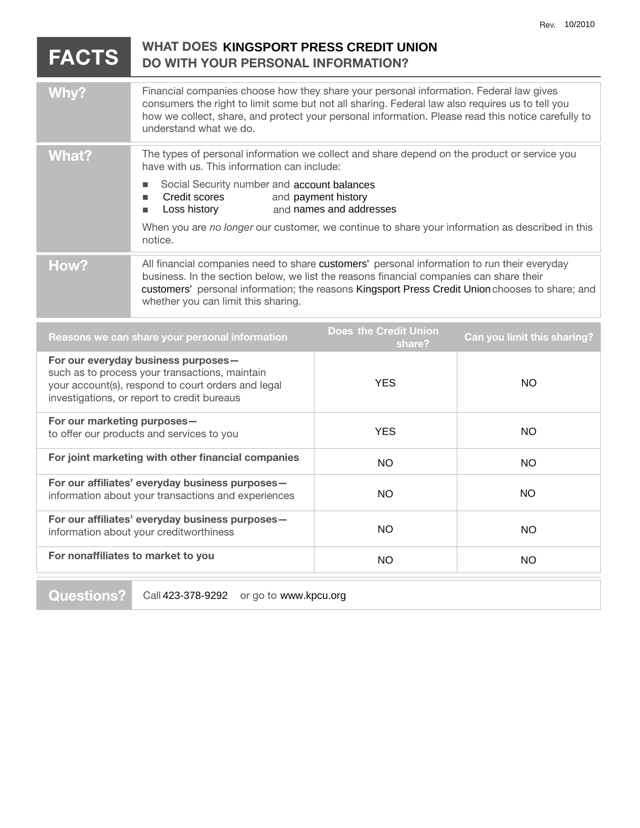|                                                                                                                                                                                            | <b>FACTS</b> | <b>WHAT DOES KINGSPORT PRESS CREDIT UNION</b><br><b>DO WITH YOUR PERSONAL INFORMATION?</b>                                                                                                                                                                                                                                       |                                                |                             |
|--------------------------------------------------------------------------------------------------------------------------------------------------------------------------------------------|--------------|----------------------------------------------------------------------------------------------------------------------------------------------------------------------------------------------------------------------------------------------------------------------------------------------------------------------------------|------------------------------------------------|-----------------------------|
|                                                                                                                                                                                            | Why?         | Financial companies choose how they share your personal information. Federal law gives<br>consumers the right to limit some but not all sharing. Federal law also requires us to tell you<br>how we collect, share, and protect your personal information. Please read this notice carefully to<br>understand what we do.        |                                                |                             |
|                                                                                                                                                                                            | <b>What?</b> | The types of personal information we collect and share depend on the product or service you<br>have with us. This information can include:                                                                                                                                                                                       |                                                |                             |
|                                                                                                                                                                                            |              | Social Security number and account balances<br>Credit scores<br>п<br>Loss history<br>п                                                                                                                                                                                                                                           | and payment history<br>and names and addresses |                             |
|                                                                                                                                                                                            |              | When you are no longer our customer, we continue to share your information as described in this<br>notice.                                                                                                                                                                                                                       |                                                |                             |
|                                                                                                                                                                                            | How?         | All financial companies need to share customers' personal information to run their everyday<br>business. In the section below, we list the reasons financial companies can share their<br>customers' personal information; the reasons Kingsport Press Credit Union chooses to share; and<br>whether you can limit this sharing. |                                                |                             |
|                                                                                                                                                                                            |              | Reasons we can share your personal information                                                                                                                                                                                                                                                                                   | <b>Does the Credit Union</b><br>share?         | Can you limit this sharing? |
| For our everyday business purposes-<br>such as to process your transactions, maintain<br>your account(s), respond to court orders and legal<br>investigations, or report to credit bureaus |              |                                                                                                                                                                                                                                                                                                                                  | <b>YES</b>                                     | <b>NO</b>                   |
| For our marketing purposes-<br>to offer our products and services to you                                                                                                                   |              |                                                                                                                                                                                                                                                                                                                                  | <b>YES</b>                                     | <b>NO</b>                   |
| For joint marketing with other financial companies                                                                                                                                         |              |                                                                                                                                                                                                                                                                                                                                  | <b>NO</b>                                      | <b>NO</b>                   |
| For our affiliates' everyday business purposes-<br>information about your transactions and experiences                                                                                     |              |                                                                                                                                                                                                                                                                                                                                  | <b>NO</b>                                      | <b>NO</b>                   |
| For our affiliates' everyday business purposes-<br>information about your creditworthiness                                                                                                 |              |                                                                                                                                                                                                                                                                                                                                  | <b>NO</b>                                      | <b>NO</b>                   |

NO NO

**For nonaffiliates to market to you** 

Questions? | Call 423-378-9292 or go to www.kpcu.org